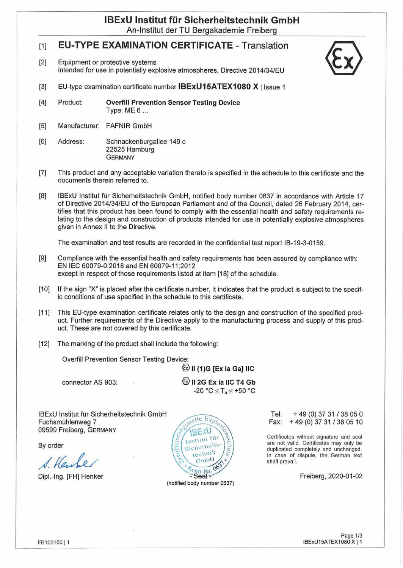# **IBExU Institut für Sicherheitstechnik GmbH**

An-Institut der TU Bergakademie Freiberg

## [1] **EU-TYPE EXAMINATION CERTIFICATE -** Translation

[2] Equipment or protective systems intended for use in potentially explosive atmospheres, Directive 2014/34/EU



- [3] EU-type examination certificate number  $IBExU15ATEX1080 X$  I Issue 1
- **[4]** Product: **Overfill Prevention Sensor Testing Device** Type: ME 6 ...
- [5] Manufacturer: FAFNIR GmbH
- [6] Address: Schnackenburgallee 149 c 22525 Hamburg **GERMANY**
- [7] This product and any acceptable Variation thereto is specified in the schedule to this certificate and the documents therein referred to.
- [8] IBExU Institut für Sicherheitstechnik GmbH, notified body number 0637 in accordance with Article 17 of Directive 2014/34/EU of the European Parliament and of the Council, dated 26 February 2014, certifies that this product has been found to comply with the essential health and safety requirements relating to the design and construction of products intended for use in potentially explosive atmospheres given in Annex II to the Directive.

The examination and test results are recorded in the confidential test report IB-19-3-0159.

- [9] Compliance with the essential health and safety requirements has been assured by compliance with: EN IEC 60079-0:2018 and EN 60079-11:2012 except in respect of those requirements listed at item [18] of the schedule.
- [10] If the sign "X" is placed after the certificate number, it indicates that the product is subject to the specific conditions of use specified in the schedule to this certificate.
- [11] This EU-type examination certificate relates only to the design and construction of the specified product. Further requirements of the Directive apply to the manufacturing process and supply of this product. These are not covered by this certificate.
- [12] The marking of the product shall include the following:

Overfill Prevention Sensor Testing Device:

**©ll(1)G [ExiaGa] MC**

**€> II 2G Ex ia MC T4 Gb**  $-20 °C \leq T_a \leq +50 °C$ 

IBExU Institut für Sicherheitstechnik GmbH Fuchsmühlenweg 7 09599 Freiberg, Germany

connector AS 903:

By Order

*/HkMs*



Tel: +49 (0) 37 31 / 38 05 0 Fax: +49 (0) 37 <sup>31</sup> /38 05 10

Certificates without signature and seal are not valid. Certificates may only be duplicated completely and unchanged. In case of dispute, the German text shall prevail.

Freiberg, 2020-01-02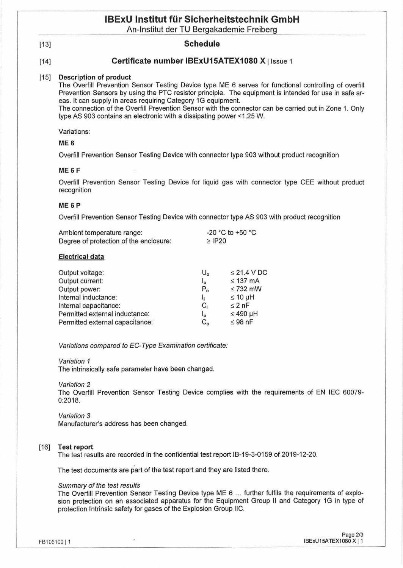## **IBExU Institut für Sicherheitstechnik GmbH**

An-Institut der TU Bergakademie Freiberg

#### [13] **Schedule**

## [14] **Certificate number IBExU15ATEX1080 X** <sup>|</sup> Issue <sup>1</sup>

#### **[15] Description of product.**

The Overfill Prevention Sensor Testing Device type ME 6 serves for functional Controlling of overfill Prevention Sensors by using the PTC resistor principle. The equipment is intended for use in safe areas. It can supply in areas requiring Category 1G equipment.

The connection of the Overfill Prevention Sensor with the connector can be carried out in Zone 1. Only type AS 903 contains an electronic with a dissipating power <1.25 W.

Variations:

### **ME 6**

Overfill Prevention Sensor Testing Device with connector type 903 without product recognition

#### **ME 6 F**

Overfill Prevention Sensor Testing Device for liquid gas with connector type CEE without product recognition

#### **ME 6 P**

Overfill Prevention Sensor Testing Device with connector type AS 903 with product recognition

| Ambient temperature range:             | -20 °C to +50 °C |  |
|----------------------------------------|------------------|--|
| Degree of protection of the enclosure: | $\ge$ IP20       |  |

#### **Electrical data**

| Output voltage:                 | $U_{o}$                   | $\leq$ 21.4 V DC |
|---------------------------------|---------------------------|------------------|
| Output current:                 | $\mathsf{I}_{\mathsf{o}}$ | $\leq$ 137 mA    |
| Output power:                   | $P_{o}$                   | $\leq$ 732 mW    |
| Internal inductance:            |                           | $\leq 10 \mu H$  |
| Internal capacitance:           | C,                        | $\leq$ 2 nF      |
| Permitted external inductance:  | l <sub>o</sub>            | $≤ 490$ µH       |
| Permitted external capacitance: | $C_{\alpha}$              | $\leq 98$ nF     |

*Variations compared to EC-Type Examination certificate:*

*Variation <sup>1</sup>*

The intrinsically safe parameter have been changed.

*Variation 2*

The Overfill Prevention Sensor Testing Device complies with the requirements of EN IEC 60079- 0:2018.

*Variation 3*

Manufacturer's address has been changed.

#### **[16] Testreport**

The test results are recorded in the confidential test report IB-19-3-0159 of 2019-12-20.

The test documents are part of the test report and they are listed there.

#### *Summary of the test results*

The Overfill Prevention Sensor Testing Device type ME 6 ... further fulfils the requirements of explosion protection on an associated apparatus for the Equipment Group II and Category 1G in type of protection Intrinsic safety for gases of the Explosion Group IIC.